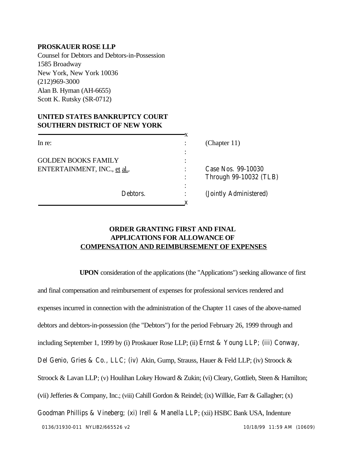## **PROSKAUER ROSE LLP**

Counsel for Debtors and Debtors-in-Possession 1585 Broadway New York, New York 10036 (212)969-3000 Alan B. Hyman (AH-6655) Scott K. Rutsky (SR-0712)

## **UNITED STATES BANKRUPTCY COURT SOUTHERN DISTRICT OF NEW YORK**

| In re:                       |          |                | (Chapter $11$ )        |
|------------------------------|----------|----------------|------------------------|
|                              |          | ٠              |                        |
| <b>GOLDEN BOOKS FAMILY</b>   |          | ٠              |                        |
| ENTERTAINMENT, INC., et al., |          | ٠              | Case Nos. 99-10030     |
|                              |          | $\bullet$      | Through 99-10032 (TLB) |
|                              |          | ٠<br>$\bullet$ |                        |
|                              | Debtors. |                | (Jointly Administered) |
|                              |          |                |                        |

## **ORDER GRANTING FIRST AND FINAL APPLICATIONS FOR ALLOWANCE OF COMPENSATION AND REIMBURSEMENT OF EXPENSES**

0136/31930-011 NYLIB2/665526 v2 10/18/99 11:59 AM (10609) **UPON** consideration of the applications (the "Applications") seeking allowance of first and final compensation and reimbursement of expenses for professional services rendered and expenses incurred in connection with the administration of the Chapter 11 cases of the above-named debtors and debtors-in-possession (the "Debtors") for the period February 26, 1999 through and including September 1, 1999 by (i) Proskauer Rose LLP; (ii) Ernst & Young LLP; (iii) Conway, Del Genio, Gries & Co., LLC; (iv) Akin, Gump, Strauss, Hauer & Feld LLP; (iv) Stroock & Stroock & Lavan LLP; (v) Houlihan Lokey Howard & Zukin; (vi) Cleary, Gottlieb, Steen & Hamilton; (vii) Jefferies & Company, Inc.; (viii) Cahill Gordon & Reindel; (ix) Willkie, Farr & Gallagher; (x) Goodman Phillips & Vineberg; (xi) Irell & Manella LLP; (xii) HSBC Bank USA, Indenture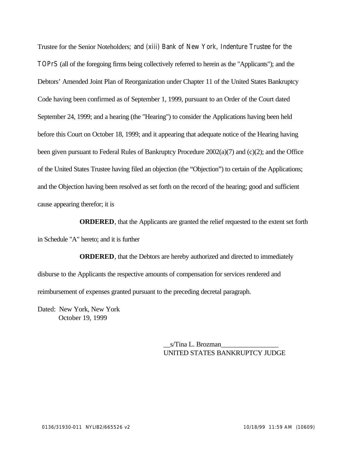Trustee for the Senior Noteholders; and (xiii) Bank of New York, Indenture Trustee for the TOPrS (all of the foregoing firms being collectively referred to herein as the "Applicants"); and the Debtors' Amended Joint Plan of Reorganization under Chapter 11 of the United States Bankruptcy Code having been confirmed as of September 1, 1999, pursuant to an Order of the Court dated September 24, 1999; and a hearing (the "Hearing") to consider the Applications having been held before this Court on October 18, 1999; and it appearing that adequate notice of the Hearing having been given pursuant to Federal Rules of Bankruptcy Procedure 2002(a)(7) and (c)(2); and the Office of the United States Trustee having filed an objection (the "Objection") to certain of the Applications; and the Objection having been resolved as set forth on the record of the hearing; good and sufficient cause appearing therefor; it is

**ORDERED**, that the Applicants are granted the relief requested to the extent set forth in Schedule "A" hereto; and it is further

**ORDERED**, that the Debtors are hereby authorized and directed to immediately disburse to the Applicants the respective amounts of compensation for services rendered and reimbursement of expenses granted pursuant to the preceding decretal paragraph.

Dated: New York, New York October 19, 1999

> \_\_s/Tina L. Brozman\_\_\_\_\_\_\_\_\_\_\_\_\_\_\_\_\_ UNITED STATES BANKRUPTCY JUDGE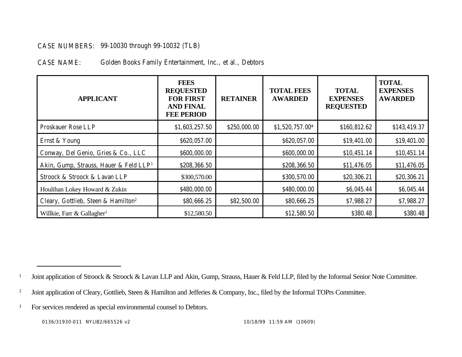## CASE NUMBERS: 99-10030 through 99-10032 (TLB)

CASE NAME: Golden Books Family Entertainment, Inc., et al., Debtors

| <b>APPLICANT</b>                                   | <b>FEES</b><br><b>REQUESTED</b><br><b>FOR FIRST</b><br><b>AND FINAL</b><br><b>FEE PERIOD</b> | <b>RETAINER</b> | <b>TOTAL FEES</b><br><b>AWARDED</b> | <b>TOTAL</b><br><b>EXPENSES</b><br><b>REQUESTED</b> | <b>TOTAL</b><br><b>EXPENSES</b><br><b>AWARDED</b> |
|----------------------------------------------------|----------------------------------------------------------------------------------------------|-----------------|-------------------------------------|-----------------------------------------------------|---------------------------------------------------|
| <b>Proskauer Rose LLP</b>                          | \$1,603,257.50                                                                               | \$250,000.00    | \$1,520,757.00*                     | \$160,812.62                                        | \$143,419.37                                      |
| Ernst & Young                                      | \$620,057.00                                                                                 |                 | \$620,057.00                        | \$19,401.00                                         | \$19,401.00                                       |
| Conway, Del Genio, Gries & Co., LLC                | \$600,000.00                                                                                 |                 | \$600,000.00                        | \$10,451.14                                         | \$10,451.14                                       |
| Akin, Gump, Strauss, Hauer & Feld LLP <sup>1</sup> | \$208,366.50                                                                                 |                 | \$208,366.50                        | \$11,476.05                                         | \$11,476.05                                       |
| Stroock & Stroock & Lavan LLP                      | \$300,570.00                                                                                 |                 | \$300,570.00                        | \$20,306.21                                         | \$20,306.21                                       |
| Houlihan Lokey Howard & Zukin                      | \$480,000.00                                                                                 |                 | \$480,000.00                        | \$6,045.44                                          | \$6,045.44                                        |
| Cleary, Gottlieb, Steen & Hamilton <sup>2</sup>    | \$80,666.25                                                                                  | \$82,500.00     | \$80,666.25                         | \$7,988.27                                          | \$7,988.27                                        |
| Willkie, Farr & Gallagher <sup>3</sup>             | \$12,580.50                                                                                  |                 | \$12,580.50                         | \$380.48                                            | \$380.48                                          |

<sup>&</sup>lt;sup>1</sup> Joint application of Stroock & Stroock & Lavan LLP and Akin, Gump, Strauss, Hauer & Feld LLP, filed by the Informal Senior Note Committee.

<sup>2</sup> Joint application of Cleary, Gottlieb, Steen & Hamilton and Jefferies & Company, Inc., filed by the Informal TOPrs Committee.

<sup>&</sup>lt;sup>3</sup> For services rendered as special environmental counsel to Debtors.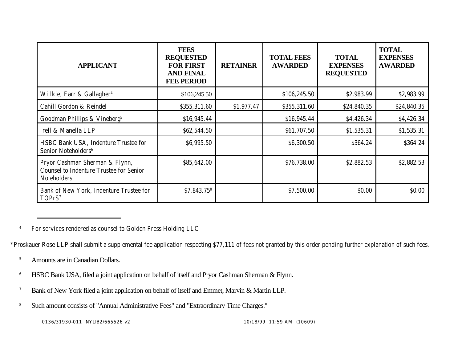| <b>APPLICANT</b>                                                                                       | <b>FEES</b><br><b>REQUESTED</b><br><b>FOR FIRST</b><br><b>AND FINAL</b><br><b>FEE PERIOD</b> | <b>RETAINER</b> | <b>TOTAL FEES</b><br><b>AWARDED</b> | <b>TOTAL</b><br><b>EXPENSES</b><br><b>REQUESTED</b> | <b>TOTAL</b><br><b>EXPENSES</b><br><b>AWARDED</b> |
|--------------------------------------------------------------------------------------------------------|----------------------------------------------------------------------------------------------|-----------------|-------------------------------------|-----------------------------------------------------|---------------------------------------------------|
| Willkie, Farr & Gallagher <sup>4</sup>                                                                 | \$106,245.50                                                                                 |                 | \$106,245.50                        | \$2,983.99                                          | \$2,983.99                                        |
| Cahill Gordon & Reindel                                                                                | \$355,311.60                                                                                 | \$1,977.47      | \$355,311.60                        | \$24,840.35                                         | \$24,840.35                                       |
| Goodman Phillips & Vineberg <sup>5</sup>                                                               | \$16,945.44                                                                                  |                 | \$16,945.44                         | \$4,426.34                                          | \$4,426.34                                        |
| Irell & Manella LLP                                                                                    | \$62,544.50                                                                                  |                 | \$61,707.50                         | \$1,535.31                                          | \$1,535.31                                        |
| HSBC Bank USA, Indenture Trustee for<br>Senior Noteholders <sup>6</sup>                                | \$6,995.50                                                                                   |                 | \$6,300.50                          | \$364.24                                            | \$364.24                                          |
| Pryor Cashman Sherman & Flynn,<br><b>Counsel to Indenture Trustee for Senior</b><br><b>Noteholders</b> | \$85,642.00                                                                                  |                 | \$76,738.00                         | \$2,882.53                                          | \$2,882.53                                        |
| Bank of New York, Indenture Trustee for<br>TOPrS <sup>7</sup>                                          | \$7,843.758                                                                                  |                 | \$7,500.00                          | \$0.00                                              | \$0.00                                            |

<sup>4</sup> For services rendered as counsel to Golden Press Holding LLC

\*Proskauer Rose LLP shall submit a supplemental fee application respecting \$77,111 of fees not granted by this order pending further explanation of such fees.

- <sup>5</sup> Amounts are in Canadian Dollars.
- <sup>6</sup> HSBC Bank USA, filed a joint application on behalf of itself and Pryor Cashman Sherman & Flynn.
- <sup>7</sup> Bank of New York filed a joint application on behalf of itself and Emmet, Marvin & Martin LLP.
- <sup>8</sup> Such amount consists of "Annual Administrative Fees" and "Extraordinary Time Charges."

0136/31930-011 NYLIB2/665526 v2 10/18/99 11:59 AM (10609)